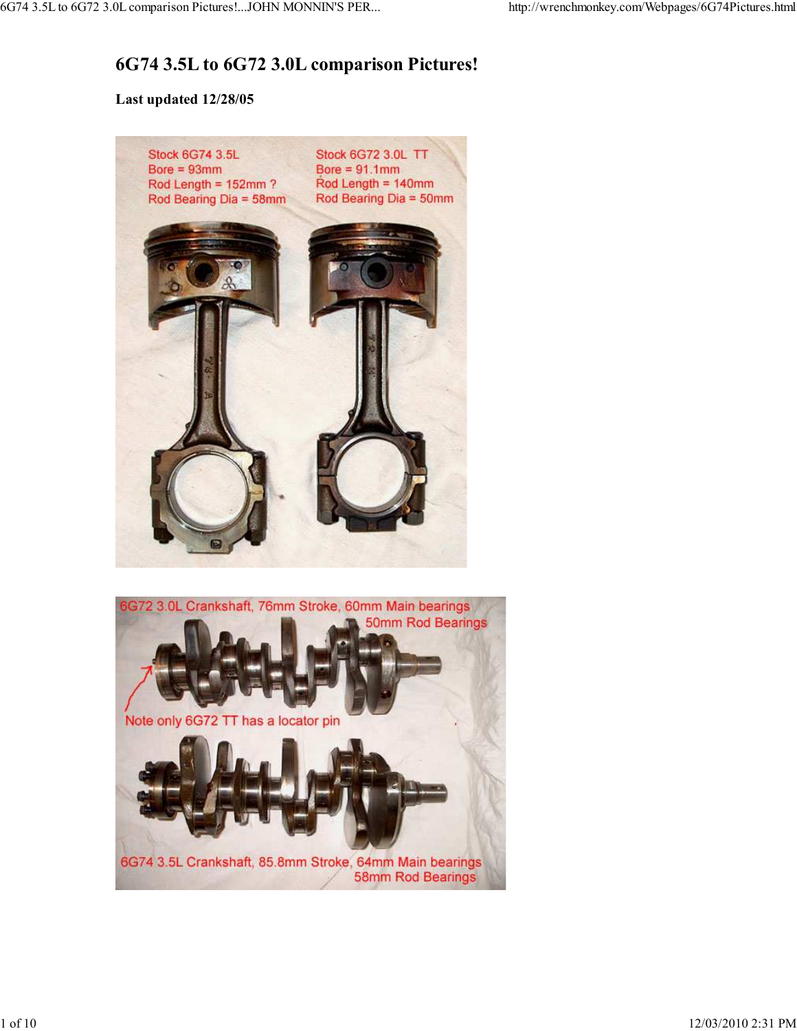## **6G74 3.5L to 6G72 3.0L comparison Pictures!**

## **Last updated 12/28/05**

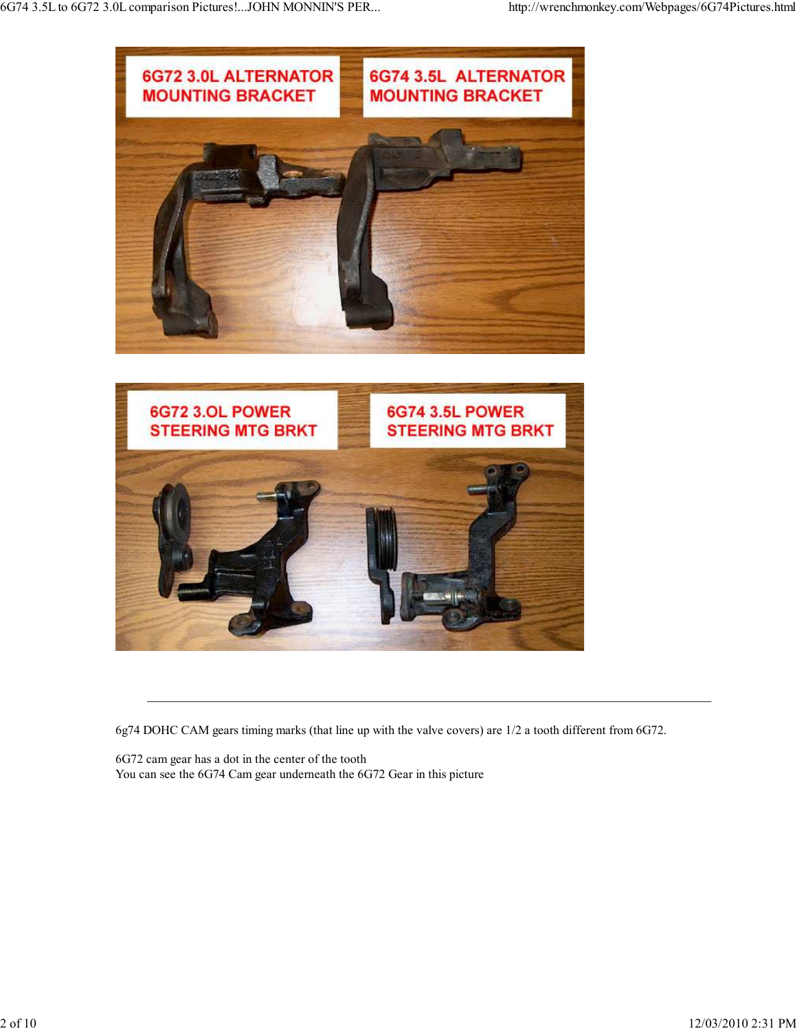

6g74 DOHC CAM gears timing marks (that line up with the valve covers) are 1/2 a tooth different from 6G72.

6G72 cam gear has a dot in the center of the tooth You can see the 6G74 Cam gear underneath the 6G72 Gear in this picture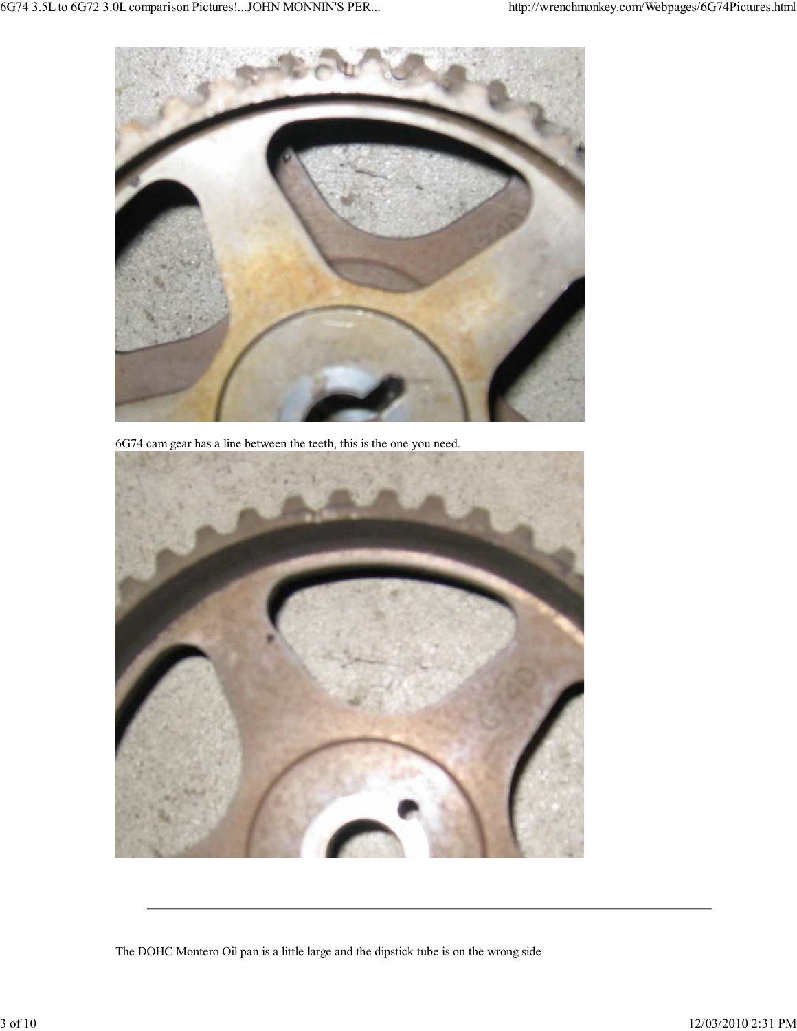

6G74 cam gear has a line between the teeth, this is the one you need.



The DOHC Montero Oil pan is a little large and the dipstick tube is on the wrong side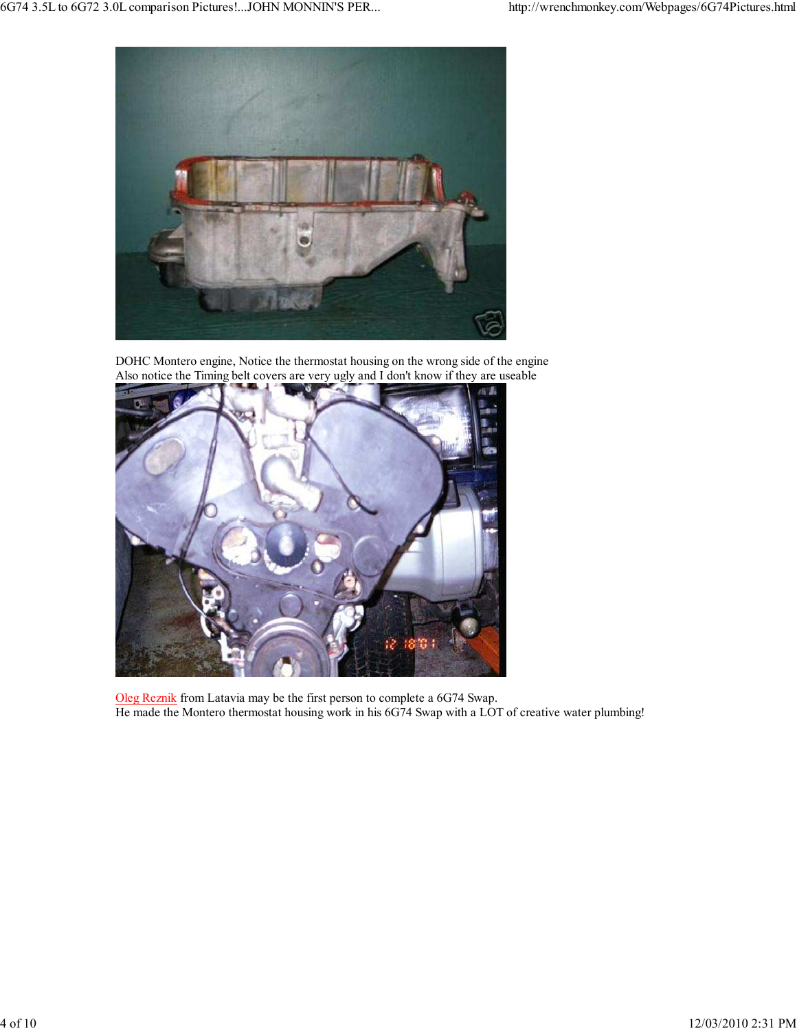

DOHC Montero engine, Notice the thermostat housing on the wrong side of the engine Also notice the Timing belt covers are very ugly and I don't know if they are useable



Oleg Reznik from Latavia may be the first person to complete a 6G74 Swap. He made the Montero thermostat housing work in his 6G74 Swap with a LOT of creative water plumbing!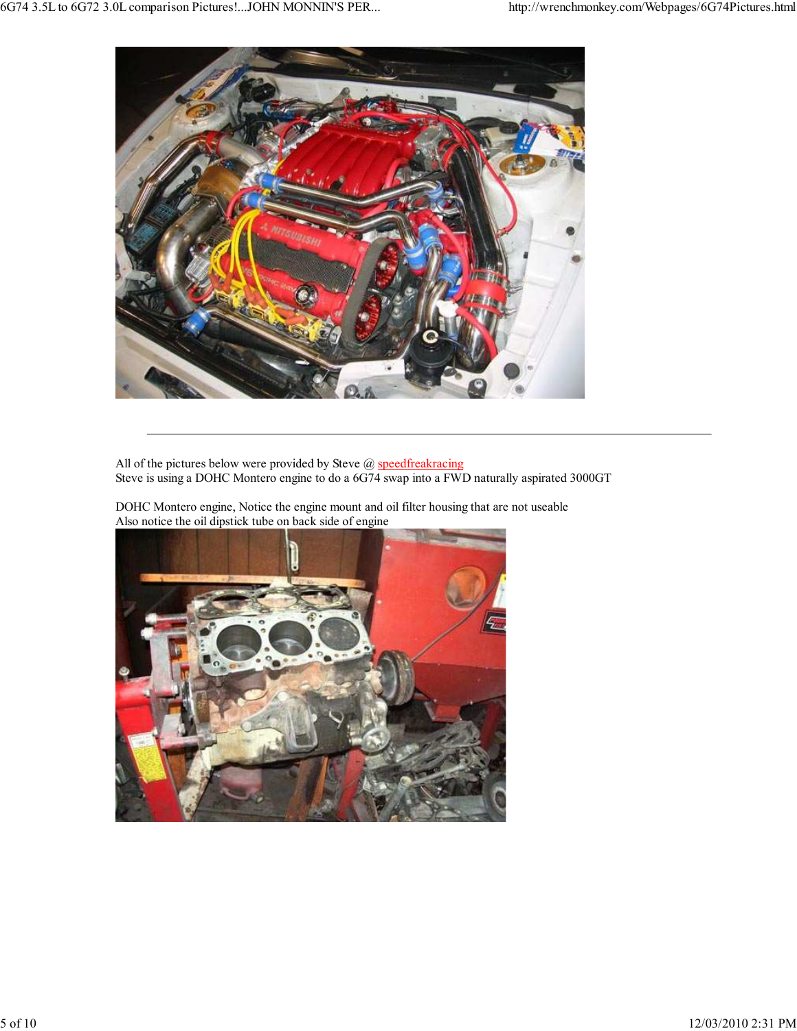

All of the pictures below were provided by Steve  $@$  speedfreakracing Steve is using a DOHC Montero engine to do a 6G74 swap into a FWD naturally aspirated 3000GT

DOHC Montero engine, Notice the engine mount and oil filter housing that are not useable Also notice the oil dipstick tube on back side of engine

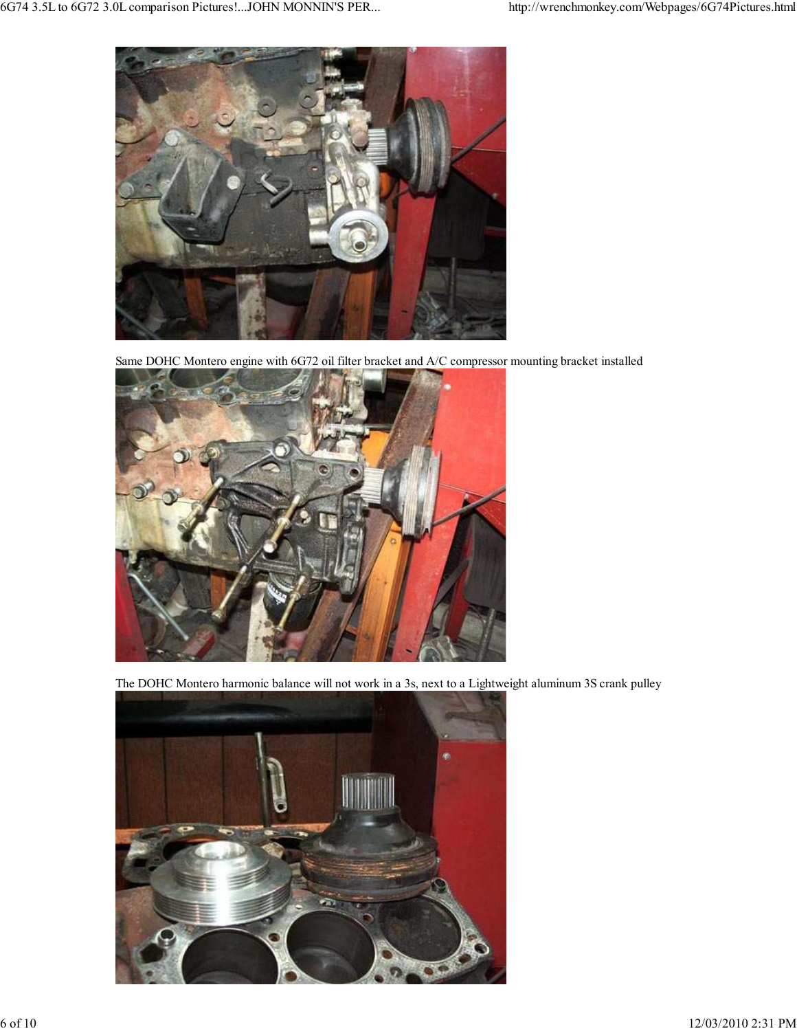

Same DOHC Montero engine with 6G72 oil filter bracket and A/C compressor mounting bracket installed



The DOHC Montero harmonic balance will not work in a 3s, next to a Lightweight aluminum 3S crank pulley

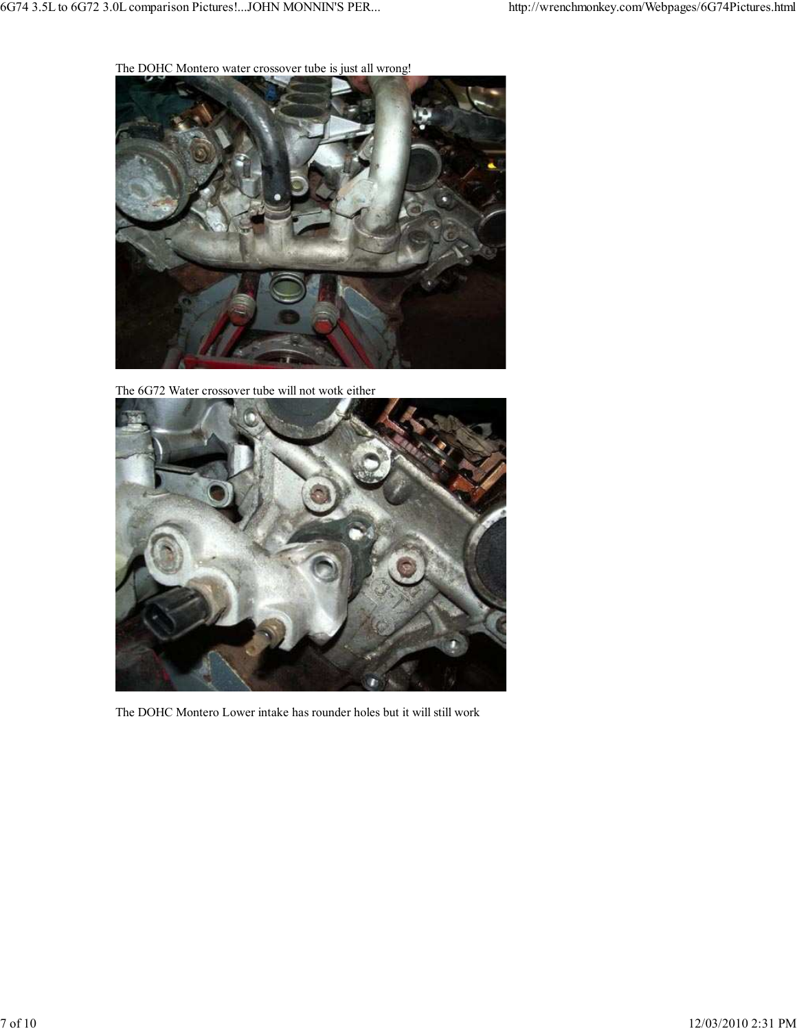The DOHC Montero water crossover tube is just all wrong!



The 6G72 Water crossover tube will not wotk either



The DOHC Montero Lower intake has rounder holes but it will still work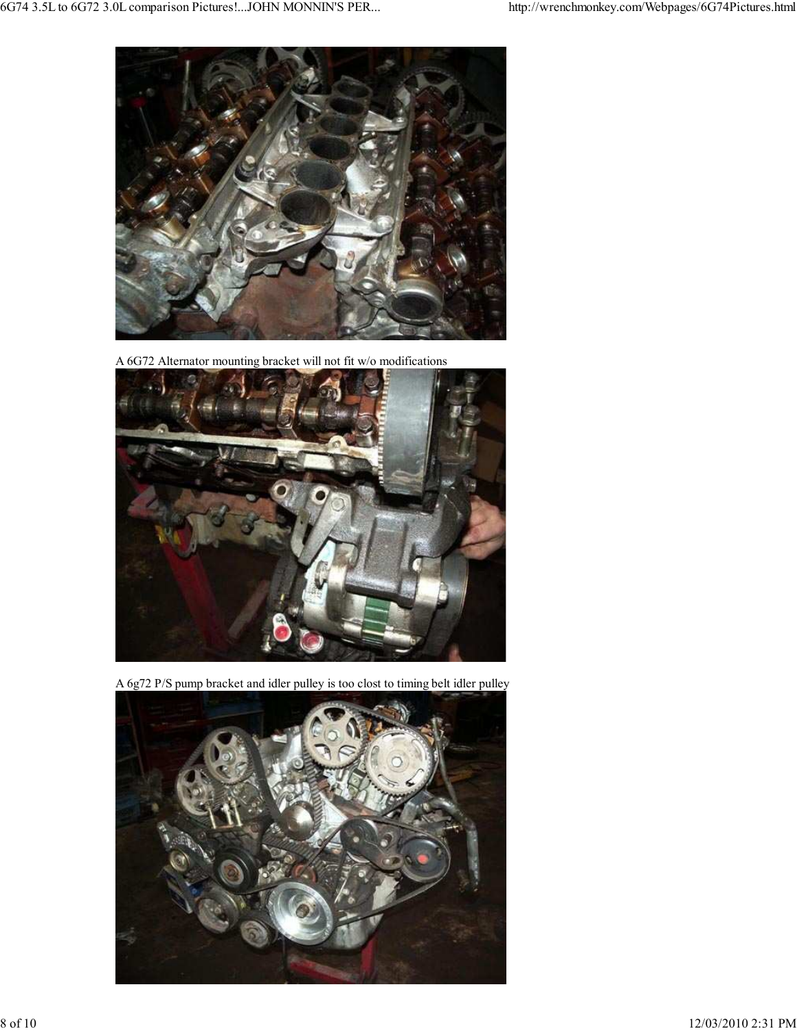

A 6G72 Alternator mounting bracket will not fit w/o modifications



A 6g72 P/S pump bracket and idler pulley is too clost to timing belt idler pulley

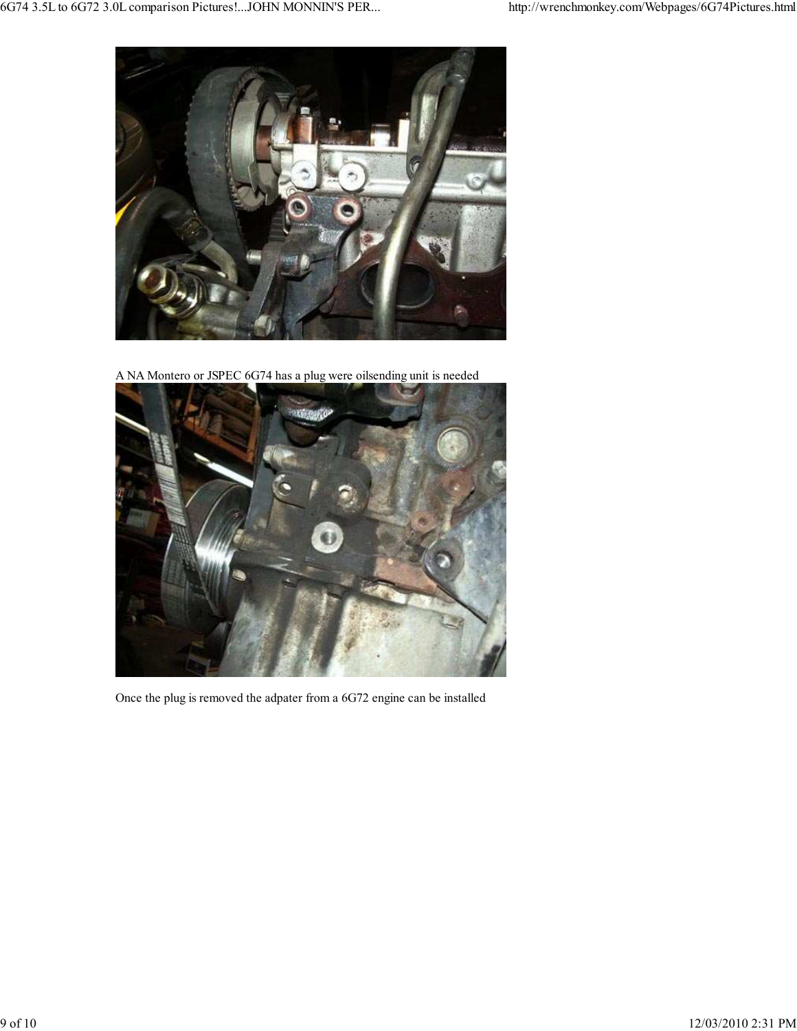

A NA Montero or JSPEC 6G74 has a plug were oilsending unit is needed



Once the plug is removed the adpater from a 6G72 engine can be installed